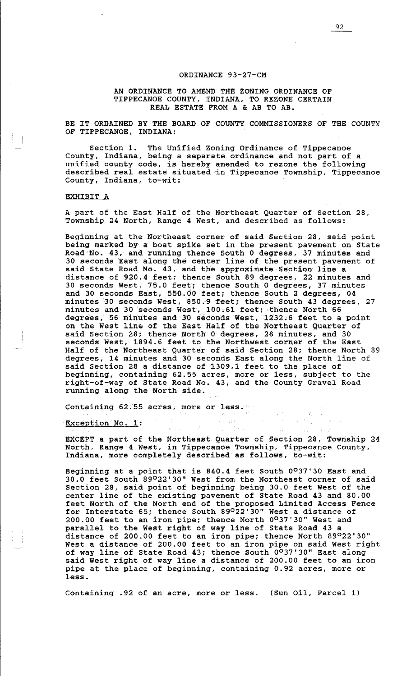## ORDINANCE 93-27-CM

# AN ORDINANCE TO AMEND THE ZONING ORDINANCE OF TIPPECANOE COUNTY, INDIANA, TO REZONE CERTAIN REAL ESTATE FROM A & AB TO AB.

BE IT ORDAINED BY THE BOARD OF COUNTY COMMISSIONERS OF THE COUNTY OF TIPPECANOE, INDIANA:

Section 1. The Unified Zoning Ordinance of Tippecanoe County, Indiana, being a separate ordinance and not part of a unified county code, is hereby amended to rezone the following described real estate situated in Tippecanoe Township, Tippecanoe County, Indiana, to-wit:

### EXHIBIT A

A part of the East Half of the Northeast Quarter of Section 28, Township 24 North, Range 4 West, and described as follows:

Beginning at the Northeast corner of said Section 28, said point being marked by a boat spike set in the present pavement on State Road<sup>7</sup>No. 43, and running thence South 0 degrees, 37 minutes and 30 seconds East along the center line of the present pavement of said State Road No. 43, and the approximate Section line a distance of 920.4 feet; thence South 89 degrees, 22 minutes and 30 seconds West, 75.0 feet; thence South 0 degrees, 37 minutes and 30 seconds East, 550.00 feet; thence South 2 degrees, 04 minutes 30 seconds West, 850.9 feet; thence South 43 degrees, 27 minutes and 30 seconds West, 100-61 feet; thence North 66 degrees, 56 minutes and 30 seconds West, 1232.6 feet to a point on the West line of the East Half of the Northeast Quarter of said Section 28; thence North 0 degrees, 28 minutes, and 30 seconds West, 1894.6 feet to the Northwest corner of the East Half of the Northeast Quarter of said Section 28; thence North 89 degrees, 14 minutes and 30 seconds East along the North line of said Section 28 a distance of 1309.l feet to the place of beginning, containing 62.55 acres, more or less, subject to the right-of-way of State Road No. 43, and the County Gravel Road running along the North side.

Containing 62.55 acres, more or less.

### Exception No. 1:

EXCEPT a part of the Northeast Quarter of Section 28, Township 24 North, Range 4 West, in Tippecanoe Township, Tippecanoe County, Indiana, more completely described as follows, to-wit:

in Kabupatén

Beginning at a point that is 840.4 feet South 0°37'30 East and 30.0 feet South 89022'30" West from the Northeast corner of said Section 28, said point of beginning being 30.0 feet West of the center line of the existing pavement of State Road 43 and 80.00 feet North of the North end of the proposed Limited Access Fence for Interstate 65; thence South 89°22'30" West a distance of 200.00 feet to an iron pipe; thence North 0°37'30" West and parallel to the West right of way line of State Road 43 a distance of 200.00 feet to an iron pipe; thence North 89°22'30" West a distance of 200.00 feet to an iron pipe on said West right of way line of State Road 43; thence South 0<sup>0</sup>37'30" East along said West right of way line a distance of 200.00 feet to an iron pipe at the place of beginning, containing 0.92 acres, more or less.

Containing .92 of an acre, more or less. (Sun Oil, Parcel 1)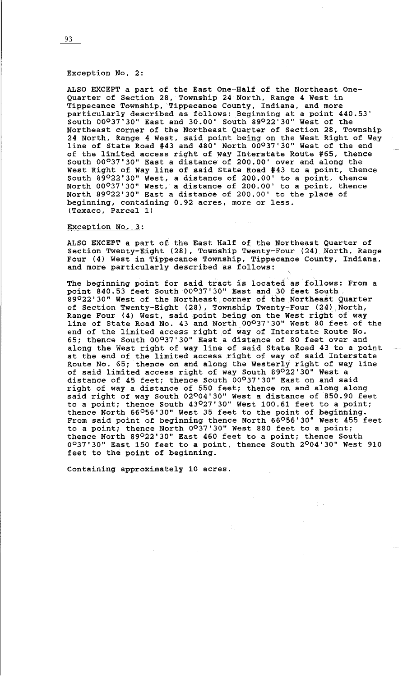## Exception No. 2:

ALSO EXCEPT a part of the East One-Half of the Northeast One-Quarter of Section 28, Township 24 North, Range 4 West in Tippecanoe Township, Tippecanoe County, Indiana, and more particularly described as follows: Beginning at a point 440.53' South 00037•30• East and 30.00' South 39022•30• West of the Northeast corner of the Northeast Quarter of Section 28, Township 24 North, Range 4 West, said point being on the West Right of Way line of State Road #43 and 480' North 00037•30• West of the end of the limited access right of way Interstate Route #65, thence South 00°37'30" East a distance of 200.00' over and along the West Right of Way line of said State Road #43 to a point, thence South 89°22'30" West, a distance of 200.00' to a point, thence North 00037•30• West, a distance of 200.00' to a point, thence North 89°22'30" East a distance of 200.00' to the place of beginning, containing 0.92 acres, more or less. (Texaco, Parcel 1)

#### Exception No. 3:

ALSO EXCEPT a part of the East Half of the Northeast Quarter of Section Twenty-Eight (28), Township Twenty-Four (24) North, Range Four (4) West in Tippecanoe Township, Tippecanoe County, Indiana, and more particularly described as follows:

The beginning point for said tract is located as follows: From a point 840.53 feet South 00<sup>0</sup>37'30" East and 30 feet South 39022'30" West of the Northeast corner of the Northeast Quarter of Section Twenty-Eight (28), Township Twenty-Four (24) North, Range Four (4) West, said point being on the West right of way line of State Road No. 43 and North 00037•30• West 80 feet of the end of the limited access right of way of Interstate Route No. 65; thence South 00°37'30" East a distance of 80 feet over and along the West right of way line of said State Road 43 to a point at the end of the limited access right of way of said Interstate Route No. 65; thence on and along the Westerly right of way line of said limited access right of way South 89°22'30" West a distance of 45 feet; thence South 00°37'30" East on and said right of way a distance of 550 feet; thence on and along along said right of way South 02004•30• West a distance of 850.90 feet to a point; thence South 43°27'30" West 100.61 feet to a point; thence North 66056'30" West 35 feet to the point of beginning. From said point of beginning thence North 66°56'30" West 455 feet to a point; thence North 0°37'30" West 880 feet to a point; thence North 39022•30• East 460 feet to a point; thence South 0037•30• East 150 feet to a point, thence South 2°04'30" West 910 feet to the point of beginning.

Containing approximately 10 acres.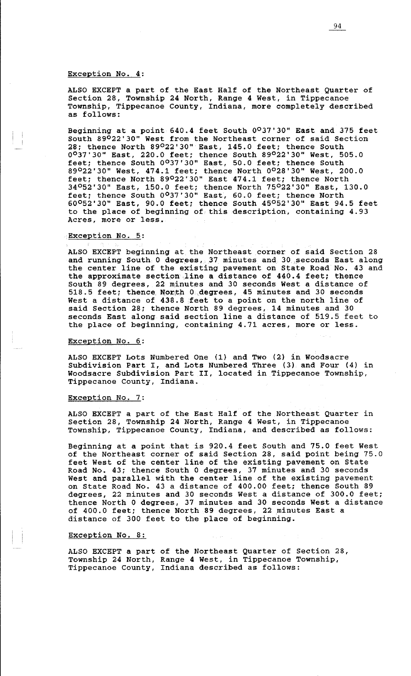### Exception No. 4:

ALSO EXCEPT a part of the East Half of the Northeast Quarter of Section 28, Township 24 North, Range 4 West, in Tippecanoe Township, Tippecanoe County, Indiana, more completely described as follows:

Beginning at a point 640.4 feet South 0<sup>0</sup>37'30" East and 375 feet South 89°22'30" West from the Northeast corner of said Section 28; thence North 89°22'30" East, 145.0 feet; thence South 0037•30" East, 220.0 feet; thence South 89°22'30" West, 505.0 feet; thence South 0°37'30" East, 50.0 feet; thence South 89022'30" West, 474.1 feet; thence North 0°28'30" West, 200.0 feet; thence North 89022'30" East 474.1 feet; thence North 34052'30" East, 150.0 feet; thence North 75°22'30" East, 130.0 feet; thence South 0°37'30" East, 60.0 feet; thence North  $60^{\circ}52'30''$  East, 90.0 feet; thence South  $45^{\circ}52'30''$  East 94.5 feet to the place of beginning of this description, containing 4.93 Acres, more or less.

## Exception No. 5:

ALSO EXCEPT beginning at the Northeast corner of said Section 28 and running South 0 degrees, 37 minutes and 30. seconds East along the center line of the existing pavement on State Road No. 43 and the approximate section line a distance of  $440.4$  feet; thence South 89 degrees, 22 minutes and 30 seconds West a distance of 518.5 feet; thence North 0 degrees, 45 minutes and 30 seconds West a distance of 438.8 feet to a point on the north line of said Section 28; thence North 89 degrees, 14 minutes and 30 seconds East along said section line a distance of 519.5 feet to the place of beginning, containing 4.71 acres, more or less.

### Exception No. 6:

ALSO EXCEPT Lots Numbered One (1) and Two (2) in Woodsacre Subdivision Part I, and Lots Numbered Three (3) and Four (4) in Woodsacre Subdivision Part II, located in Tippecanoe Township, Tippecanoe County, Indiana.

### Exception No. 7:

ALSO EXCEPT a part of the East Half of the Northeast Quarter in Section 28, Township 24 North, Range 4 West, in Tippecanoe Township, Tippecanoe County, Indiana, and described as follows:

Beginning at a point that is 920.4 feet South and 75.0 feet West of the Northeast corner of said Section 28, said point being 75.0 feet West of the center line of the existing pavement on State Road No. 43; thence South 0 degrees, 37 minutes and 30 seconds West and parallel with the center line of the existing pavement on State Road No. 43 a distance of 400.00 feet; thence South 89 degrees, 22 minutes and 30 seconds West a distance of 300.0 feet; thence North 0 degrees, 37 minutes and 30 seconds West a distance of 400.0 feet; thence North 89 degrees, 22 minutes East a distance of 300 feet to the place of beginning.

### Exception No. 8:

ALSO EXCEPT a part of the Northeast Quarter of Section 28, Township 24 North, Range 4 West, in Tippecanoe Township, Tippecanoe County, Indiana described as follows: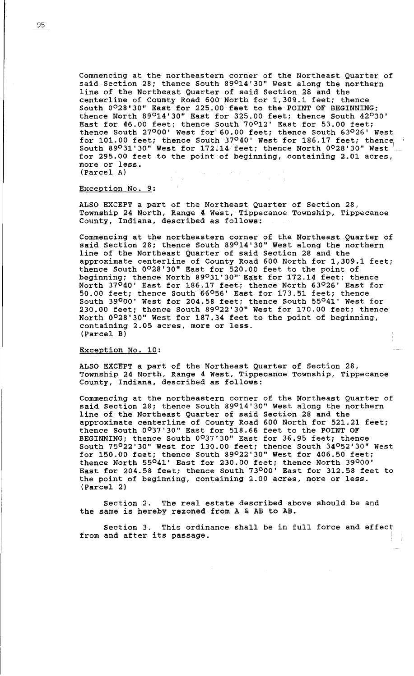Commencing at the northeastern corner of the Northeast Quarter of said Section 28; thence South 89<sup>0</sup>14'30" West along the northern line of the Northeast Quarter of said Section 28 and the centerline of County Road 600 North for 1,309.1 feet; thence South 0°28'30" East for 225.00 feet to the POINT OF BEGINNING; thence North 89014'30" East for 325.00 feet; thence South 42°30' East for  $46.00$  feet; thence South  $70^{\circ}12'$  East for 53.00 feet; thence South 27°00' West for 60.00 feet; thence South 63°26' West for 101.00 feet; thence South 37°40' West for 186.17 feet; thence South 89°31'30" West for 172.14 feet; thence North 0028'30" West for 295.00 feet to the point of beginning, containing 2.01 acres, more or less. (Parcel A)

### Exception No. 9:

ALSO EXCEPT a part of the Northeast Quarter of Section 28, Township 24 North, Range 4 West, Tippecanoe Township, Tippecanoe County, Indiana, described as follows:

Commencing at the northeastern corner of the Northeast Quarter of said Section 28; thence South 89°14'30'' West along the northern line of the Northeast Quarter of said Section 28 and the approximate centerline of County Road 600 North for 1,309.1 feet; thence South 0°28'30" East for 520.00 feet to the point of beginning; thence North 89<sup>0</sup>31'30" East for 172.14 feet; thence North 37°40' East for 186.17 feet; thence North 63°26' East for 50.00 feet; thence South 66<sup>0</sup>56' East for 173.51 feet; thence South 39000• West for 204.58 feet; thence South 55°41' West for 230.00 feet; thence South 89022'30" West for 170.00 feet; thence North 0°28'30" West for 187.34 feet to the point of beginning, containing 2.05 acres, more or less. (Parcel Bl

# Exception No. 10:

ALSO EXCEPT a part of the Northeast Quarter of Section 28, Township 24 North, Range 4 West, Tippecanoe Township, Tippecanoe County, Indiana, described as follows:

Commencing at the northeastern corner of the Northeast Quarter of said Section 28; thence South 89°14'30" West along the northern line of the Northeast Quarter of said Section 28 and the approximate centerline of County Road 600 North for 521.21 feet; thence South 0°37'30" East for 518.66 feet to the POINT OF BEGINNING; thence South 0°37'30" East for 36.95 feet; thence South 75022"30" West for 130.00 feet; thence South 34052'30" West for 150.00 feet; thence South 89<sup>0</sup>22'30" West for 406.50 feet; thence North 55041• East for 230.00 feet; thence North 39°00' East for 204.58 feet; thence South 73000• East for 312.58 feet to the point of beginning, containing 2.00 acres, more or less. (Parcel 2)

Section 2. The real estate described above should be and the same is hereby rezoned from A & AB to AB.

Section 3. This ordinance shall be in full force and effect from and after its passage.